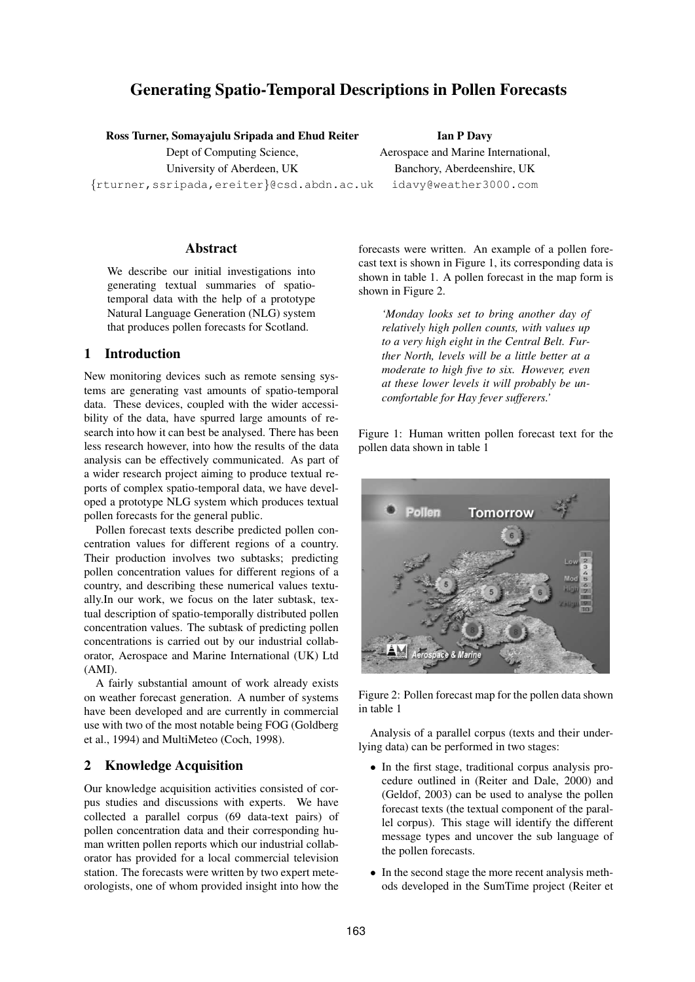# **Generating Spatio-Temporal Descriptions in Pollen Forecasts**

**Ross Turner, Somayajulu Sripada and Ehud Reiter**

Dept of Computing Science, University of Aberdeen, UK {rturner,ssripada,ereiter}@csd.abdn.ac.uk

**Abstract**

We describe our initial investigations into generating textual summaries of spatiotemporal data with the help of a prototype Natural Language Generation (NLG) system that produces pollen forecasts for Scotland.

## **1 Introduction**

New monitoring devices such as remote sensing systems are generating vast amounts of spatio-temporal data. These devices, coupled with the wider accessibility of the data, have spurred large amounts of research into how it can best be analysed. There has been less research however, into how the results of the data analysis can be effectively communicated. As part of a wider research project aiming to produce textual reports of complex spatio-temporal data, we have developed a prototype NLG system which produces textual pollen forecasts for the general public.

Pollen forecast texts describe predicted pollen concentration values for different regions of a country. Their production involves two subtasks; predicting pollen concentration values for different regions of a country, and describing these numerical values textually.In our work, we focus on the later subtask, textual description of spatio-temporally distributed pollen concentration values. The subtask of predicting pollen concentrations is carried out by our industrial collaborator, Aerospace and Marine International (UK) Ltd (AMI).

A fairly substantial amount of work already exists on weather forecast generation. A number of systems have been developed and are currently in commercial use with two of the most notable being FOG (Goldberg et al., 1994) and MultiMeteo (Coch, 1998).

### **2 Knowledge Acquisition**

Our knowledge acquisition activities consisted of corpus studies and discussions with experts. We have collected a parallel corpus (69 data-text pairs) of pollen concentration data and their corresponding human written pollen reports which our industrial collaborator has provided for a local commercial television station. The forecasts were written by two expert meteorologists, one of whom provided insight into how the

**Ian P Davy** Aerospace and Marine International, Banchory, Aberdeenshire, UK idavy@weather3000.com

forecasts were written. An example of a pollen forecast text is shown in Figure 1, its corresponding data is shown in table 1. A pollen forecast in the map form is shown in Figure 2.

*'Monday looks set to bring another day of relatively high pollen counts, with values up to a very high eight in the Central Belt. Further North, levels will be a little better at a moderate to high five to six. However, even at these lower levels it will probably be uncomfortable for Hay fever sufferers.'*

Figure 1: Human written pollen forecast text for the pollen data shown in table 1



Figure 2: Pollen forecast map for the pollen data shown in table 1

Analysis of a parallel corpus (texts and their underlying data) can be performed in two stages:

- In the first stage, traditional corpus analysis procedure outlined in (Reiter and Dale, 2000) and (Geldof, 2003) can be used to analyse the pollen forecast texts (the textual component of the parallel corpus). This stage will identify the different message types and uncover the sub language of the pollen forecasts.
- In the second stage the more recent analysis methods developed in the SumTime project (Reiter et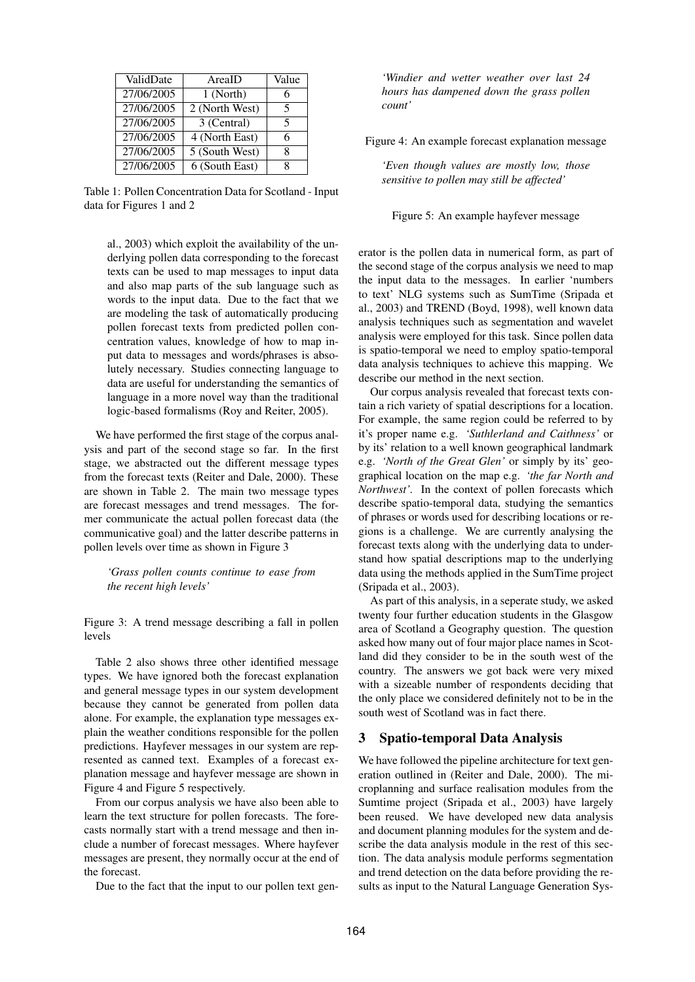| ValidDate  | AreaID         | Value |
|------------|----------------|-------|
| 27/06/2005 | 1 (North)      | 6     |
| 27/06/2005 | 2 (North West) | 5     |
| 27/06/2005 | 3 (Central)    | 5     |
| 27/06/2005 | 4 (North East) | 6     |
| 27/06/2005 | 5 (South West) | 8     |
| 27/06/2005 | 6 (South East) |       |

Table 1: Pollen Concentration Data for Scotland - Input data for Figures 1 and 2

al., 2003) which exploit the availability of the underlying pollen data corresponding to the forecast texts can be used to map messages to input data and also map parts of the sub language such as words to the input data. Due to the fact that we are modeling the task of automatically producing pollen forecast texts from predicted pollen concentration values, knowledge of how to map input data to messages and words/phrases is absolutely necessary. Studies connecting language to data are useful for understanding the semantics of language in a more novel way than the traditional logic-based formalisms (Roy and Reiter, 2005).

We have performed the first stage of the corpus analysis and part of the second stage so far. In the first stage, we abstracted out the different message types from the forecast texts (Reiter and Dale, 2000). These are shown in Table 2. The main two message types are forecast messages and trend messages. The former communicate the actual pollen forecast data (the communicative goal) and the latter describe patterns in pollen levels over time as shown in Figure 3

*'Grass pollen counts continue to ease from the recent high levels'*

Figure 3: A trend message describing a fall in pollen levels

Table 2 also shows three other identified message types. We have ignored both the forecast explanation and general message types in our system development because they cannot be generated from pollen data alone. For example, the explanation type messages explain the weather conditions responsible for the pollen predictions. Hayfever messages in our system are represented as canned text. Examples of a forecast explanation message and hayfever message are shown in Figure 4 and Figure 5 respectively.

From our corpus analysis we have also been able to learn the text structure for pollen forecasts. The forecasts normally start with a trend message and then include a number of forecast messages. Where hayfever messages are present, they normally occur at the end of the forecast.

Due to the fact that the input to our pollen text gen-

*'Windier and wetter weather over last 24 hours has dampened down the grass pollen count'*

Figure 4: An example forecast explanation message

*'Even though values are mostly low, those sensitive to pollen may still be affected'*

Figure 5: An example hayfever message

erator is the pollen data in numerical form, as part of the second stage of the corpus analysis we need to map the input data to the messages. In earlier 'numbers to text' NLG systems such as SumTime (Sripada et al., 2003) and TREND (Boyd, 1998), well known data analysis techniques such as segmentation and wavelet analysis were employed for this task. Since pollen data is spatio-temporal we need to employ spatio-temporal data analysis techniques to achieve this mapping. We describe our method in the next section.

Our corpus analysis revealed that forecast texts contain a rich variety of spatial descriptions for a location. For example, the same region could be referred to by it's proper name e.g. *'Suthlerland and Caithness'* or by its' relation to a well known geographical landmark e.g. *'North of the Great Glen'* or simply by its' geographical location on the map e.g. *'the far North and Northwest'.* In the context of pollen forecasts which describe spatio-temporal data, studying the semantics of phrases or words used for describing locations or regions is a challenge. We are currently analysing the forecast texts along with the underlying data to understand how spatial descriptions map to the underlying data using the methods applied in the SumTime project (Sripada et al., 2003).

As part of this analysis, in a seperate study, we asked twenty four further education students in the Glasgow area of Scotland a Geography question. The question asked how many out of four major place names in Scotland did they consider to be in the south west of the country. The answers we got back were very mixed with a sizeable number of respondents deciding that the only place we considered definitely not to be in the south west of Scotland was in fact there.

### **3 Spatio-temporal Data Analysis**

We have followed the pipeline architecture for text generation outlined in (Reiter and Dale, 2000). The microplanning and surface realisation modules from the Sumtime project (Sripada et al., 2003) have largely been reused. We have developed new data analysis and document planning modules for the system and describe the data analysis module in the rest of this section. The data analysis module performs segmentation and trend detection on the data before providing the results as input to the Natural Language Generation Sys-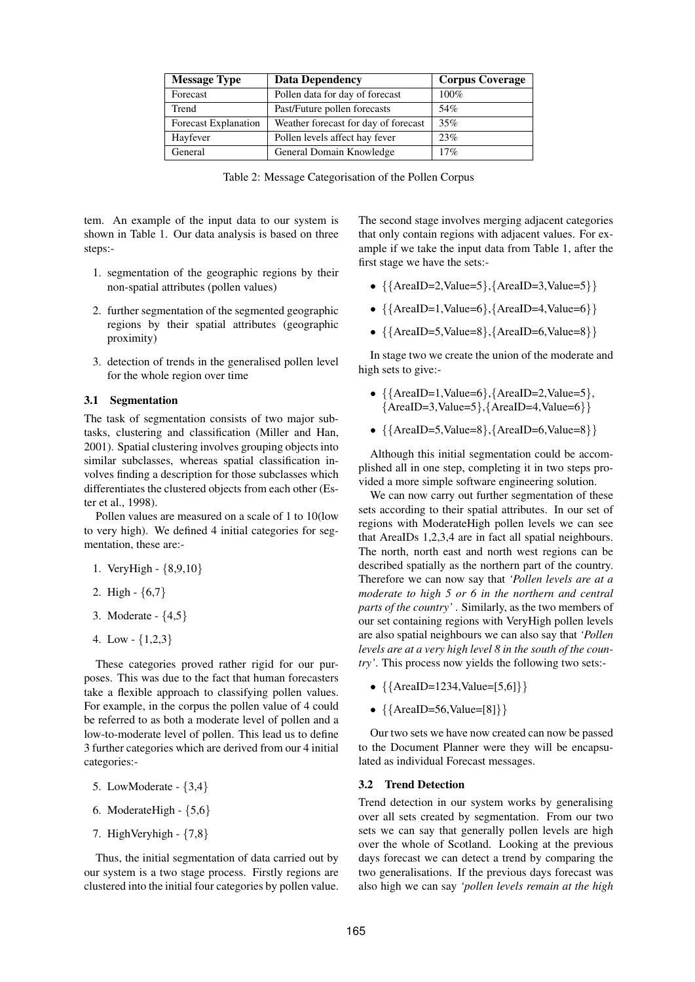| <b>Message Type</b>         | <b>Data Dependency</b>               | <b>Corpus Coverage</b> |
|-----------------------------|--------------------------------------|------------------------|
| Forecast                    | Pollen data for day of forecast      | 100%                   |
| Trend                       | Past/Future pollen forecasts         | 54%                    |
| <b>Forecast Explanation</b> | Weather forecast for day of forecast | 35%                    |
| Hayfever                    | Pollen levels affect hay fever       | 23%                    |
| General                     | General Domain Knowledge             | 17%                    |

Table 2: Message Categorisation of the Pollen Corpus

tem. An example of the input data to our system is shown in Table 1. Our data analysis is based on three steps:-

- 1. segmentation of the geographic regions by their non-spatial attributes (pollen values)
- 2. further segmentation of the segmented geographic regions by their spatial attributes (geographic proximity)
- 3. detection of trends in the generalised pollen level for the whole region over time

#### **3.1 Segmentation**

The task of segmentation consists of two major subtasks, clustering and classification (Miller and Han, 2001). Spatial clustering involves grouping objects into similar subclasses, whereas spatial classification involves finding a description for those subclasses which differentiates the clustered objects from each other (Ester et al., 1998).

Pollen values are measured on a scale of 1 to 10(low to very high). We defined 4 initial categories for segmentation, these are:-

- 1. VeryHigh {8,9,10}
- 2. High {6,7}
- 3. Moderate {4,5}
- 4. Low  $\{1,2,3\}$

These categories proved rather rigid for our purposes. This was due to the fact that human forecasters take a flexible approach to classifying pollen values. For example, in the corpus the pollen value of 4 could be referred to as both a moderate level of pollen and a low-to-moderate level of pollen. This lead us to define 3 further categories which are derived from our 4 initial categories:-

- 5. LowModerate {3,4}
- 6. ModerateHigh  ${5,6}$
- 7. HighVeryhigh {7,8}

Thus, the initial segmentation of data carried out by our system is a two stage process. Firstly regions are clustered into the initial four categories by pollen value.

The second stage involves merging adjacent categories that only contain regions with adjacent values. For example if we take the input data from Table 1, after the first stage we have the sets:-

- $\{ \{ AreaID = 2, Value = 5 \}, \{ AreaID = 3, Value = 5 \} \}$
- $\{\{AreaID=1, Value=6\}, \{AreaID=4, Value=6\}\}\$
- $\{ \{ AreaID = 5, Value = 8 \}, \{ AreaID = 6, Value = 8 \} \}$

In stage two we create the union of the moderate and high sets to give:-

- $\{ \{ AreaID = 1, Value = 6 \}, \{ AreaID = 2, Value = 5 \},\}$  ${AreaID=3, Value=5}, {AreaID=4, Value=6}$
- $\{ \{ AreaID = 5, Value = 8 \}, \{ AreaID = 6, Value = 8 \} \}$

Although this initial segmentation could be accomplished all in one step, completing it in two steps provided a more simple software engineering solution.

We can now carry out further segmentation of these sets according to their spatial attributes. In our set of regions with ModerateHigh pollen levels we can see that AreaIDs 1,2,3,4 are in fact all spatial neighbours. The north, north east and north west regions can be described spatially as the northern part of the country. Therefore we can now say that *'Pollen levels are at a moderate to high 5 or 6 in the northern and central parts of the country'* . Similarly, as the two members of our set containing regions with VeryHigh pollen levels are also spatial neighbours we can also say that *'Pollen levels are at a very high level 8 in the south of the country'*. This process now yields the following two sets:-

- $\{ \{ AreaID = 1234, Value = [5, 6] \} \}$
- $({AreaID = 56, Value = [8]}$

Our two sets we have now created can now be passed to the Document Planner were they will be encapsulated as individual Forecast messages.

#### **3.2 Trend Detection**

Trend detection in our system works by generalising over all sets created by segmentation. From our two sets we can say that generally pollen levels are high over the whole of Scotland. Looking at the previous days forecast we can detect a trend by comparing the two generalisations. If the previous days forecast was also high we can say *'pollen levels remain at the high*